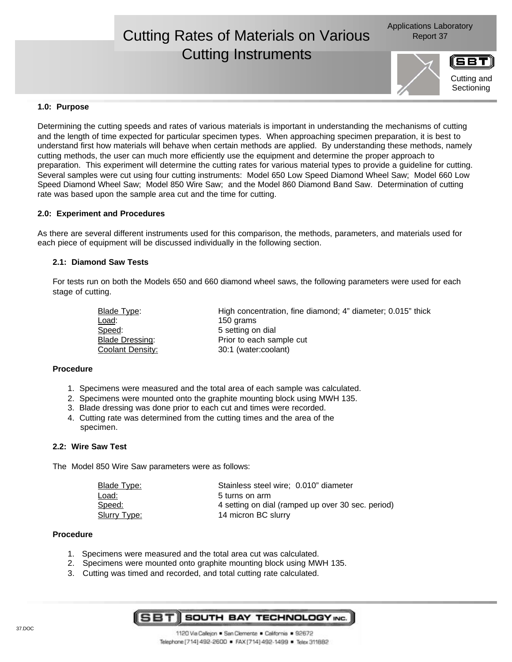# Cutting Rates of Materials on Various **Report 37** Cutting Instruments



Cutting and **Sectioning** 

# **1.0: Purpose**

Determining the cutting speeds and rates of various materials is important in understanding the mechanisms of cutting and the length of time expected for particular specimen types. When approaching specimen preparation, it is best to understand first how materials will behave when certain methods are applied. By understanding these methods, namely cutting methods, the user can much more efficiently use the equipment and determine the proper approach to preparation. This experiment will determine the cutting rates for various material types to provide a guideline for cutting. Several samples were cut using four cutting instruments: Model 650 Low Speed Diamond Wheel Saw; Model 660 Low Speed Diamond Wheel Saw; Model 850 Wire Saw; and the Model 860 Diamond Band Saw. Determination of cutting rate was based upon the sample area cut and the time for cutting.

# **2.0: Experiment and Procedures**

As there are several different instruments used for this comparison, the methods, parameters, and materials used for each piece of equipment will be discussed individually in the following section.

# **2.1: Diamond Saw Tests**

For tests run on both the Models 650 and 660 diamond wheel saws, the following parameters were used for each stage of cutting.

| Blade Type:            | High concentration, fine diamond; 4" diameter; 0.015" thick |
|------------------------|-------------------------------------------------------------|
| Load:                  | 150 grams                                                   |
| Speed:                 | 5 setting on dial                                           |
| <b>Blade Dressing:</b> | Prior to each sample cut                                    |
| Coolant Density:       | 30:1 (water:coolant)                                        |

#### **Procedure**

- 1. Specimens were measured and the total area of each sample was calculated.
- 2. Specimens were mounted onto the graphite mounting block using MWH 135.
- 3. Blade dressing was done prior to each cut and times were recorded.
- 4. Cutting rate was determined from the cutting times and the area of the specimen.

### **2.2: Wire Saw Test**

The Model 850 Wire Saw parameters were as follows:

| Blade Type:  | Stainless steel wire: 0.010" diameter             |
|--------------|---------------------------------------------------|
| Load:        | 5 turns on arm                                    |
| Speed:       | 4 setting on dial (ramped up over 30 sec. period) |
| Slurry Type: | 14 micron BC slurry                               |

#### **Procedure**

- 1. Specimens were measured and the total area cut was calculated.
- 2. Specimens were mounted onto graphite mounting block using MWH 135.
- 3. Cutting was timed and recorded, and total cutting rate calculated.

58 T SOUTH BAY TECHNOLOGY INC.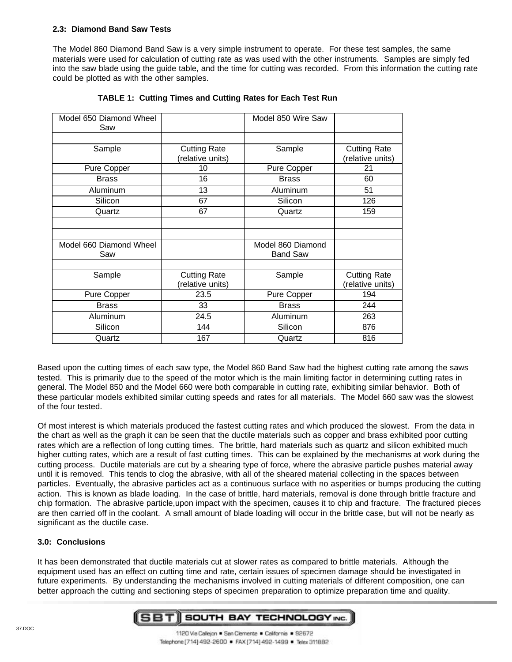# **2.3: Diamond Band Saw Tests**

The Model 860 Diamond Band Saw is a very simple instrument to operate. For these test samples, the same materials were used for calculation of cutting rate as was used with the other instruments. Samples are simply fed into the saw blade using the guide table, and the time for cutting was recorded. From this information the cutting rate could be plotted as with the other samples.

| Model 650 Diamond Wheel<br>Saw |                                         | Model 850 Wire Saw |                                         |
|--------------------------------|-----------------------------------------|--------------------|-----------------------------------------|
|                                |                                         |                    |                                         |
| Sample                         | <b>Cutting Rate</b><br>(relative units) | Sample             | <b>Cutting Rate</b><br>(relative units) |
| Pure Copper                    | 10                                      | Pure Copper        | 21                                      |
| <b>Brass</b>                   | 16                                      | <b>Brass</b>       | 60                                      |
| Aluminum                       | 13                                      | Aluminum           | 51                                      |
| Silicon                        | 67                                      | Silicon            | 126                                     |
| Quartz                         | 67                                      | Quartz             | 159                                     |
|                                |                                         |                    |                                         |
|                                |                                         |                    |                                         |
| Model 660 Diamond Wheel        |                                         | Model 860 Diamond  |                                         |
| Saw                            |                                         | <b>Band Saw</b>    |                                         |
|                                |                                         |                    |                                         |
| Sample                         | <b>Cutting Rate</b>                     | Sample             | <b>Cutting Rate</b>                     |
|                                | (relative units)                        |                    | (relative units)                        |
| Pure Copper                    | 23.5                                    | Pure Copper        | 194                                     |
| <b>Brass</b>                   | 33                                      | <b>Brass</b>       | 244                                     |
| Aluminum                       | 24.5                                    | Aluminum           | 263                                     |
| Silicon                        | 144                                     | Silicon            | 876                                     |
| Quartz                         | 167                                     | Quartz             | 816                                     |

**TABLE 1: Cutting Times and Cutting Rates for Each Test Run**

Based upon the cutting times of each saw type, the Model 860 Band Saw had the highest cutting rate among the saws tested. This is primarily due to the speed of the motor which is the main limiting factor in determining cutting rates in general. The Model 850 and the Model 660 were both comparable in cutting rate, exhibiting similar behavior. Both of these particular models exhibited similar cutting speeds and rates for all materials. The Model 660 saw was the slowest of the four tested.

Of most interest is which materials produced the fastest cutting rates and which produced the slowest. From the data in the chart as well as the graph it can be seen that the ductile materials such as copper and brass exhibited poor cutting rates which are a reflection of long cutting times. The brittle, hard materials such as quartz and silicon exhibited much higher cutting rates, which are a result of fast cutting times. This can be explained by the mechanisms at work during the cutting process. Ductile materials are cut by a shearing type of force, where the abrasive particle pushes material away until it is removed. This tends to clog the abrasive, with all of the sheared material collecting in the spaces between particles. Eventually, the abrasive particles act as a continuous surface with no asperities or bumps producing the cutting action. This is known as blade loading. In the case of brittle, hard materials, removal is done through brittle fracture and chip formation. The abrasive particle,upon impact with the specimen, causes it to chip and fracture. The fractured pieces are then carried off in the coolant. A small amount of blade loading will occur in the brittle case, but will not be nearly as significant as the ductile case.

# **3.0: Conclusions**

It has been demonstrated that ductile materials cut at slower rates as compared to brittle materials. Although the equipment used has an effect on cutting time and rate, certain issues of specimen damage should be investigated in future experiments. By understanding the mechanisms involved in cutting materials of different composition, one can better approach the cutting and sectioning steps of specimen preparation to optimize preparation time and quality.

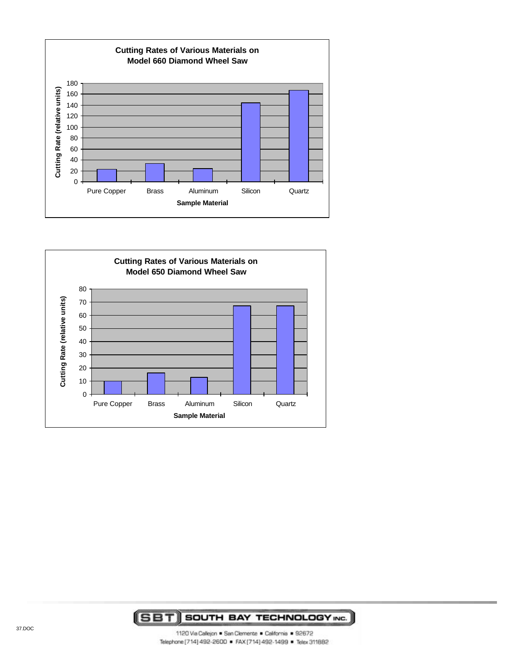